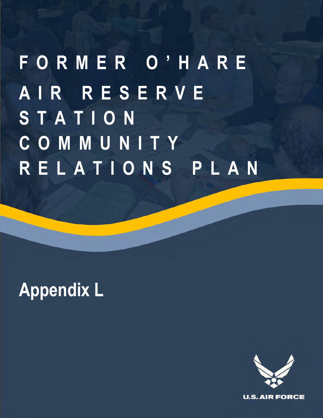# **F O R M E R O ' H A R E A I R R E S E R V E S T A T I O N C O M M U N I T Y R E L A T I O N S P L A N**





**U.S. AIR FORCE**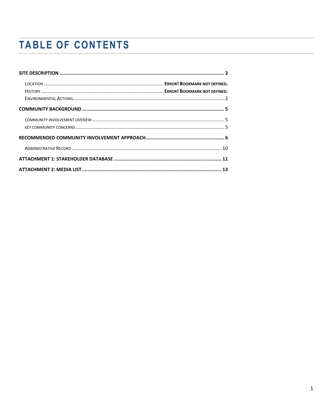# TABLE OF CONTENTS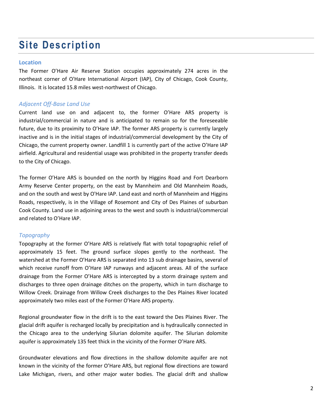# <span id="page-2-0"></span>**Site Description**

#### <span id="page-2-1"></span>**Location**

The Former O'Hare Air Reserve Station occupies approximately 274 acres in the northeast corner of O'Hare International Airport (IAP), City of Chicago, Cook County, Illinois. It is located 15.8 miles west-northwest of Chicago.

#### *Adjacent Off-Base Land Use*

Current land use on and adjacent to, the former O'Hare ARS property is industrial/commercial in nature and is anticipated to remain so for the foreseeable future, due to its proximity to O'Hare IAP. The former ARS property is currently largely inactive and is in the initial stages of industrial/commercial development by the City of Chicago, the current property owner. Landfill 1 is currently part of the active O'Hare IAP airfield. Agricultural and residential usage was prohibited in the property transfer deeds to the City of Chicago.

The former O'Hare ARS is bounded on the north by Higgins Road and Fort Dearborn Army Reserve Center property, on the east by Mannheim and Old Mannheim Roads, and on the south and west by O'Hare IAP. Land east and north of Mannheim and Higgins Roads, respectively, is in the Village of Rosemont and City of Des Plaines of suburban Cook County. Land use in adjoining areas to the west and south is industrial/commercial and related to O'Hare IAP.

#### *Topography*

Topography at the former O'Hare ARS is relatively flat with total topographic relief of approximately 15 feet. The ground surface slopes gently to the northeast. The watershed at the Former O'Hare ARS is separated into 13 sub drainage basins, several of which receive runoff from O'Hare IAP runways and adjacent areas. All of the surface drainage from the Former O'Hare ARS is intercepted by a storm drainage system and discharges to three open drainage ditches on the property, which in turn discharge to Willow Creek. Drainage from Willow Creek discharges to the Des Plaines River located approximately two miles east of the Former O'Hare ARS property.

Regional groundwater flow in the drift is to the east toward the Des Plaines River. The glacial drift aquifer is recharged locally by precipitation and is hydraulically connected in the Chicago area to the underlying Silurian dolomite aquifer. The Silurian dolomite aquifer is approximately 135 feet thick in the vicinity of the Former O'Hare ARS.

Groundwater elevations and flow directions in the shallow dolomite aquifer are not known in the vicinity of the former O'Hare ARS, but regional flow directions are toward Lake Michigan, rivers, and other major water bodies. The glacial drift and shallow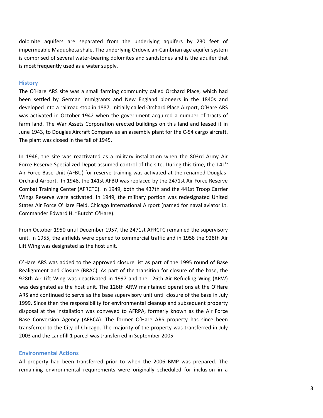dolomite aquifers are separated from the underlying aquifers by 230 feet of impermeable Maquoketa shale. The underlying Ordovician-Cambrian age aquifer system is comprised of several water-bearing dolomites and sandstones and is the aquifer that is most frequently used as a water supply.

#### **History**

The O'Hare ARS site was a small farming community called Orchard Place, which had been settled by German immigrants and New England pioneers in the 1840s and developed into a railroad stop in 1887. Initially called Orchard Place Airport, O'Hare ARS was activated in October 1942 when the government acquired a number of tracts of farm land. The War Assets Corporation erected buildings on this land and leased it in June 1943, to Douglas Aircraft Company as an assembly plant for the C-54 cargo aircraft. The plant was closed in the fall of 1945.

In 1946, the site was reactivated as a military installation when the 803rd Army Air Force Reserve Specialized Depot assumed control of the site. During this time, the  $141<sup>st</sup>$ Air Force Base Unit (AFBU) for reserve training was activated at the renamed Douglas-Orchard Airport. In 1948, the 141st AFBU was replaced by the 2471st Air Force Reserve Combat Training Center (AFRCTC). In 1949, both the 437th and the 441st Troop Carrier Wings Reserve were activated. In 1949, the military portion was redesignated United States Air Force O'Hare Field, Chicago International Airport (named for naval aviator Lt. Commander Edward H. "Butch" O'Hare).

From October 1950 until December 1957, the 2471st AFRCTC remained the supervisory unit. In 1955, the airfields were opened to commercial traffic and in 1958 the 928th Air Lift Wing was designated as the host unit.

O'Hare ARS was added to the approved closure list as part of the 1995 round of Base Realignment and Closure (BRAC). As part of the transition for closure of the base, the 928th Air Lift Wing was deactivated in 1997 and the 126th Air Refueling Wing (ARW) was designated as the host unit. The 126th ARW maintained operations at the O'Hare ARS and continued to serve as the base supervisory unit until closure of the base in July 1999. Since then the responsibility for environmental cleanup and subsequent property disposal at the installation was conveyed to AFRPA, formerly known as the Air Force Base Conversion Agency (AFBCA). The former O'Hare ARS property has since been transferred to the City of Chicago. The majority of the property was transferred in July 2003 and the Landfill 1 parcel was transferred in September 2005.

#### **Environmental Actions**

All property had been transferred prior to when the 2006 BMP was prepared. The remaining environmental requirements were originally scheduled for inclusion in a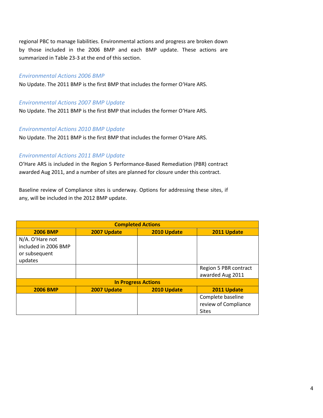regional PBC to manage liabilities. Environmental actions and progress are broken down by those included in the 2006 BMP and each BMP update. These actions are summarized in Table 23-3 at the end of this section.

#### *Environmental Actions 2006 BMP*

No Update. The 2011 BMP is the first BMP that includes the former O'Hare ARS.

#### *Environmental Actions 2007 BMP Update*

No Update. The 2011 BMP is the first BMP that includes the former O'Hare ARS.

#### *Environmental Actions 2010 BMP Update*

No Update. The 2011 BMP is the first BMP that includes the former O'Hare ARS.

#### *Environmental Actions 2011 BMP Update*

O'Hare ARS is included in the Region 5 Performance-Based Remediation (PBR) contract awarded Aug 2011, and a number of sites are planned for closure under this contract.

Baseline review of Compliance sites is underway. Options for addressing these sites, if any, will be included in the 2012 BMP update.

| <b>Completed Actions</b>                                            |             |             |                                                           |  |
|---------------------------------------------------------------------|-------------|-------------|-----------------------------------------------------------|--|
| <b>2006 BMP</b>                                                     | 2007 Update | 2010 Update | 2011 Update                                               |  |
| N/A. O'Hare not<br>included in 2006 BMP<br>or subsequent<br>updates |             |             |                                                           |  |
|                                                                     |             |             | Region 5 PBR contract                                     |  |
|                                                                     |             |             | awarded Aug 2011                                          |  |
| <b>In Progress Actions</b>                                          |             |             |                                                           |  |
| <b>2006 BMP</b>                                                     | 2007 Update | 2010 Update | 2011 Update                                               |  |
|                                                                     |             |             | Complete baseline<br>review of Compliance<br><b>Sites</b> |  |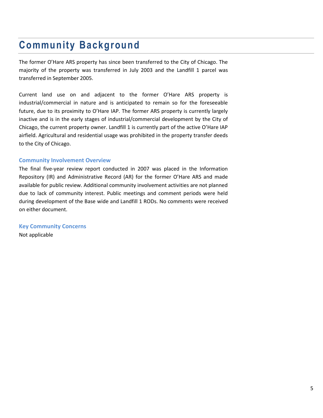## <span id="page-5-0"></span>**Community Background**

The former O'Hare ARS property has since been transferred to the City of Chicago. The majority of the property was transferred in July 2003 and the Landfill 1 parcel was transferred in September 2005.

Current land use on and adjacent to the former O'Hare ARS property is industrial/commercial in nature and is anticipated to remain so for the foreseeable future, due to its proximity to O'Hare IAP. The former ARS property is currently largely inactive and is in the early stages of industrial/commercial development by the City of Chicago, the current property owner. Landfill 1 is currently part of the active O'Hare IAP airfield. Agricultural and residential usage was prohibited in the property transfer deeds to the City of Chicago.

#### **Community Involvement Overview**

The final five-year review report conducted in 2007 was placed in the Information Repository (IR) and Administrative Record (AR) for the former O'Hare ARS and made available for public review. Additional community involvement activities are not planned due to lack of community interest. Public meetings and comment periods were held during development of the Base wide and Landfill 1 RODs. No comments were received on either document.

**Key Community Concerns**  Not applicable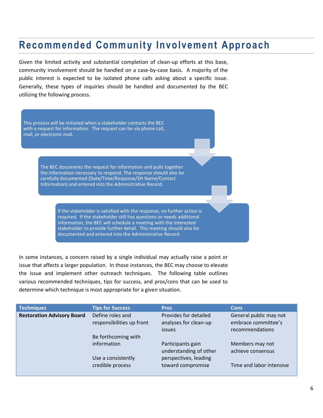## <span id="page-6-0"></span>**Recommended Community Involvement Approach**

Given the limited activity and substantial completion of clean-up efforts at this base, community involvement should be handled on a case-by-case basis. A majority of the public interest is expected to be isolated phone calls asking about a specific issue. Generally, these types of inquiries should be handled and documented by the BEC utilizing the following process.

This process will be initiated when a stakeholder contacts the BEC with a request for information. The request can be via phone call, mail, or electronic mail.

> The BEC documents the request for information and pulls together the information necessary to respond. The response should also be carefully documented (Date/Time/Response/SH Name/Contact Information) and entered into the Administrative Record.

> > If the stakeholder is satisfied with the response, no further action is required. If the stakeholder still has questions or needs additional information, the BEC will schedule a meeting with the interested stakeholder to provide further detail. This meeting should also be documented and entered into the Administrative Record.

In some instances, a concern raised by a single individual may actually raise a point or issue that affects a larger population. In those instances, the BEC may choose to elevate the issue and implement other outreach techniques. The following table outlines various recommended techniques, tips for success, and pros/cons that can be used to determine which technique is most appropriate for a given situation.

| <b>Techniques</b>                 | <b>Tips for Success</b>                       | <b>Pros</b>                                              | <b>Cons</b>                                                      |
|-----------------------------------|-----------------------------------------------|----------------------------------------------------------|------------------------------------------------------------------|
| <b>Restoration Advisory Board</b> | Define roles and<br>responsibilities up front | Provides for detailed<br>analyses for clean-up<br>issues | General public may not<br>embrace committee's<br>recommendations |
|                                   | Be forthcoming with                           |                                                          |                                                                  |
|                                   | information                                   | Participants gain<br>understanding of other              | Members may not<br>achieve consensus                             |
|                                   | Use a consistently                            | perspectives, leading                                    |                                                                  |
|                                   | credible process                              | toward compromise                                        | Time and labor intensive                                         |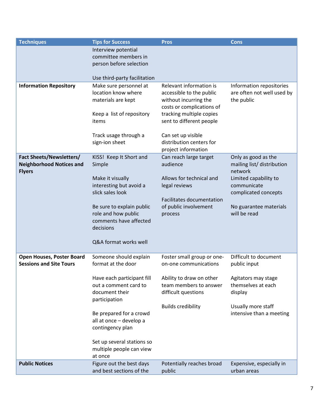| <b>Techniques</b>               | <b>Tips for Success</b>                         | <b>Pros</b>                      | <b>Cons</b>                |  |
|---------------------------------|-------------------------------------------------|----------------------------------|----------------------------|--|
|                                 | Interview potential                             |                                  |                            |  |
|                                 | committee members in<br>person before selection |                                  |                            |  |
|                                 |                                                 |                                  |                            |  |
|                                 |                                                 |                                  |                            |  |
|                                 | Use third-party facilitation                    |                                  |                            |  |
| <b>Information Repository</b>   | Make sure personnel at                          | Relevant information is          | Information repositories   |  |
|                                 | location know where                             | accessible to the public         | are often not well used by |  |
|                                 | materials are kept                              | without incurring the            | the public                 |  |
|                                 |                                                 | costs or complications of        |                            |  |
|                                 | Keep a list of repository                       | tracking multiple copies         |                            |  |
|                                 | items                                           | sent to different people         |                            |  |
|                                 |                                                 |                                  |                            |  |
|                                 | Track usage through a                           | Can set up visible               |                            |  |
|                                 | sign-ion sheet                                  | distribution centers for         |                            |  |
|                                 |                                                 | project information              |                            |  |
| Fact Sheets/Newsletters/        | KISS! Keep It Short and                         | Can reach large target           | Only as good as the        |  |
| <b>Neighborhood Notices and</b> | Simple                                          | audience                         | mailing list/ distribution |  |
| <b>Flyers</b>                   |                                                 |                                  | network                    |  |
|                                 | Make it visually                                | Allows for technical and         | Limited capability to      |  |
|                                 | interesting but avoid a                         | legal reviews                    | communicate                |  |
|                                 | slick sales look                                |                                  | complicated concepts       |  |
|                                 |                                                 | <b>Facilitates documentation</b> |                            |  |
|                                 | Be sure to explain public                       | of public involvement            | No guarantee materials     |  |
|                                 | role and how public                             | process                          | will be read               |  |
|                                 | comments have affected<br>decisions             |                                  |                            |  |
|                                 |                                                 |                                  |                            |  |
|                                 | Q&A format works well                           |                                  |                            |  |
|                                 |                                                 |                                  |                            |  |
| Open Houses, Poster Board       | Someone should explain                          | Foster small group or one-       | Difficult to document      |  |
| <b>Sessions and Site Tours</b>  | format at the door                              | on-one communications            | public input               |  |
|                                 |                                                 |                                  |                            |  |
|                                 | Have each participant fill                      | Ability to draw on other         | Agitators may stage        |  |
|                                 | out a comment card to                           | team members to answer           | themselves at each         |  |
|                                 | document their                                  | difficult questions              | display                    |  |
|                                 | participation                                   |                                  |                            |  |
|                                 |                                                 | <b>Builds credibility</b>        | Usually more staff         |  |
|                                 | Be prepared for a crowd                         |                                  | intensive than a meeting   |  |
|                                 | all at once - develop a                         |                                  |                            |  |
|                                 | contingency plan                                |                                  |                            |  |
|                                 |                                                 |                                  |                            |  |
|                                 | Set up several stations so                      |                                  |                            |  |
|                                 | multiple people can view                        |                                  |                            |  |
|                                 | at once                                         |                                  |                            |  |
| <b>Public Notices</b>           | Figure out the best days                        | Potentially reaches broad        | Expensive, especially in   |  |
|                                 | and best sections of the                        | public                           | urban areas                |  |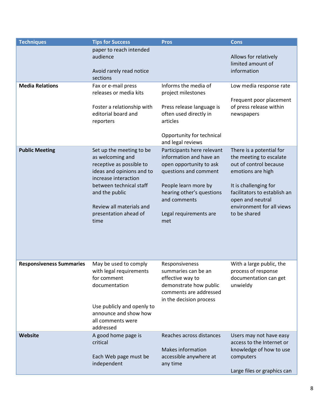| <b>Techniques</b>               | <b>Tips for Success</b>                                                                                                                                                                                                                 | <b>Pros</b>                                                                                                                                                                                                     | <b>Cons</b>                                                                                                                                                                                                                  |
|---------------------------------|-----------------------------------------------------------------------------------------------------------------------------------------------------------------------------------------------------------------------------------------|-----------------------------------------------------------------------------------------------------------------------------------------------------------------------------------------------------------------|------------------------------------------------------------------------------------------------------------------------------------------------------------------------------------------------------------------------------|
|                                 | paper to reach intended<br>audience<br>Avoid rarely read notice<br>sections                                                                                                                                                             |                                                                                                                                                                                                                 | Allows for relatively<br>limited amount of<br>information                                                                                                                                                                    |
| <b>Media Relations</b>          | Fax or e-mail press<br>releases or media kits<br>Foster a relationship with<br>editorial board and<br>reporters                                                                                                                         | Informs the media of<br>project milestones<br>Press release language is<br>often used directly in<br>articles<br>Opportunity for technical<br>and legal reviews                                                 | Low media response rate<br>Frequent poor placement<br>of press release within<br>newspapers                                                                                                                                  |
| <b>Public Meeting</b>           | Set up the meeting to be<br>as welcoming and<br>receptive as possible to<br>ideas and opinions and to<br>increase interaction<br>between technical staff<br>and the public<br>Review all materials and<br>presentation ahead of<br>time | Participants here relevant<br>information and have an<br>open opportunity to ask<br>questions and comment<br>People learn more by<br>hearing other's questions<br>and comments<br>Legal requirements are<br>met | There is a potential for<br>the meeting to escalate<br>out of control because<br>emotions are high<br>It is challenging for<br>facilitators to establish an<br>open and neutral<br>environment for all views<br>to be shared |
| <b>Responsiveness Summaries</b> | May be used to comply<br>with legal requirements<br>for comment<br>documentation<br>Use publicly and openly to<br>announce and show how<br>all comments were<br>addressed                                                               | Responsiveness<br>summaries can be an<br>effective way to<br>demonstrate how public<br>comments are addressed<br>in the decision process                                                                        | With a large public, the<br>process of response<br>documentation can get<br>unwieldy                                                                                                                                         |
| Website                         | A good home page is<br>critical<br>Each Web page must be<br>independent                                                                                                                                                                 | Reaches across distances<br><b>Makes information</b><br>accessible anywhere at<br>any time                                                                                                                      | Users may not have easy<br>access to the Internet or<br>knowledge of how to use<br>computers<br>Large files or graphics can                                                                                                  |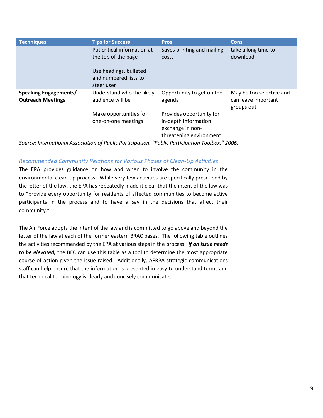| <b>Techniques</b>                                        | <b>Tips for Success</b>                                       | <b>Pros</b>                                                                                     | <b>Cons</b>                                                   |
|----------------------------------------------------------|---------------------------------------------------------------|-------------------------------------------------------------------------------------------------|---------------------------------------------------------------|
|                                                          | Put critical information at<br>the top of the page            | Saves printing and mailing<br>costs                                                             | take a long time to<br>download                               |
|                                                          | Use headings, bulleted<br>and numbered lists to<br>steer user |                                                                                                 |                                                               |
| <b>Speaking Engagements/</b><br><b>Outreach Meetings</b> | Understand who the likely<br>audience will be                 | Opportunity to get on the<br>agenda                                                             | May be too selective and<br>can leave important<br>groups out |
|                                                          | Make opportunities for<br>one-on-one meetings                 | Provides opportunity for<br>in-depth information<br>exchange in non-<br>threatening environment |                                                               |

*Source: International Association of Public Participation. "Public Participation Toolbox," 2006.*

#### *Recommended Community Relations for Various Phases of Clean-Up Activities*

The EPA provides guidance on how and when to involve the community in the environmental clean-up process. While very few activities are specifically prescribed by the letter of the law, the EPA has repeatedly made it clear that the intent of the law was to "provide every opportunity for residents of affected communities to become active participants in the process and to have a say in the decisions that affect their community."

The Air Force adopts the intent of the law and is committed to go above and beyond the letter of the law at each of the former eastern BRAC bases. The following table outlines the activities recommended by the EPA at various steps in the process. *If an issue needs to be elevated,* the BEC can use this table as a tool to determine the most appropriate course of action given the issue raised. Additionally, AFRPA strategic communications staff can help ensure that the information is presented in easy to understand terms and that technical terminology is clearly and concisely communicated.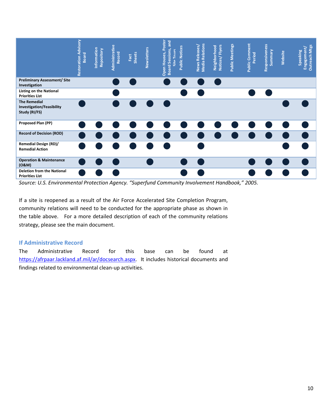

*Source: U.S. Environmental Protection Agency. "Superfund Community Involvement Handbook," 2005.*

If a site is reopened as a result of the Air Force Accelerated Site Completion Program, community relations will need to be conducted for the appropriate phase as shown in the table above. For a more detailed description of each of the community relations strategy, please see the main document.

#### <span id="page-10-0"></span>**If Administrative Record**

The Administrative Record for this base can be found at [https://afrpaar.lackland.af.mil/ar/docsearch.aspx.](https://afrpaar.lackland.af.mil/ar/docsearch.aspx) It includes historical documents and findings related to environmental clean-up activities.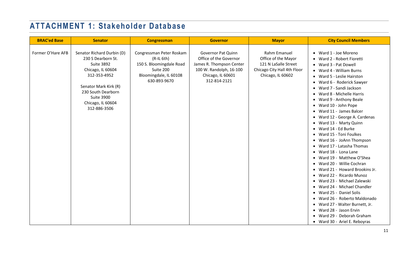# **ATTACHMENT 1: Stakeholder Database**

<span id="page-11-0"></span>

| <b>BRAC'ed Base</b> | <b>Senator</b>                                                                                                                                                                                                      | <b>Congressman</b>                                                                                                          | <b>Governor</b>                                                                                                                                 | <b>Mayor</b>                                                                                                    | <b>City Council Members</b>                                                                                                                                                                                                                                                                                                                                                                                                                                                                                                                                                                                                                                                                                                                                                                                                                                                                                 |
|---------------------|---------------------------------------------------------------------------------------------------------------------------------------------------------------------------------------------------------------------|-----------------------------------------------------------------------------------------------------------------------------|-------------------------------------------------------------------------------------------------------------------------------------------------|-----------------------------------------------------------------------------------------------------------------|-------------------------------------------------------------------------------------------------------------------------------------------------------------------------------------------------------------------------------------------------------------------------------------------------------------------------------------------------------------------------------------------------------------------------------------------------------------------------------------------------------------------------------------------------------------------------------------------------------------------------------------------------------------------------------------------------------------------------------------------------------------------------------------------------------------------------------------------------------------------------------------------------------------|
| Former O'Hare AFB   | Senator Richard Durbin (D)<br>230 S Dearborn St.<br><b>Suite 3892</b><br>Chicago, IL 60604<br>312-353-4952<br>Senator Mark Kirk (R)<br>230 South Dearborn<br><b>Suite 3900</b><br>Chicago, IL 60604<br>312-886-3506 | Congressman Peter Roskam<br>$(R-IL 6th)$<br>150 S. Bloomingdale Road<br>Suite 200<br>Bloomingdale, IL 60108<br>630-893-9670 | <b>Governor Pat Quinn</b><br>Office of the Governor<br>James R. Thompson Center<br>100 W. Randolph, 16-100<br>Chicago, IL 60601<br>312-814-2121 | Rahm Emanuel<br>Office of the Mayor<br>121 N LaSalle Street<br>Chicago City Hall 4th Floor<br>Chicago, IL 60602 | • Ward 1 - Joe Moreno<br>• Ward 2 - Robert Fioretti<br>• Ward 3 - Pat Dowell<br>• Ward 4 - William Burns<br>• Ward 5 - Leslie Hairston<br>• Ward 6 - Roderick Sawyer<br>• Ward 7 - Sandi Jackson<br>• Ward 8 - Michelle Harris<br>• Ward 9 - Anthony Beale<br>• Ward 10 - John Pope<br>• Ward 11 - James Balcer<br>• Ward 12 - George A. Cardenas<br>• Ward 13 - Marty Quinn<br>• Ward 14 - Ed Burke<br>• Ward 15 - Toni Foulkes<br>• Ward 16 - JoAnn Thompson<br>• Ward 17 - Latasha Thomas<br>• Ward 18 - Lona Lane<br>• Ward 19 - Matthew O'Shea<br>• Ward 20 - Willie Cochran<br>• Ward 21 - Howard Brookins Jr.<br>• Ward 22 - Ricardo Munoz<br>• Ward 23 - Michael Zalewski<br>• Ward 24 - Michael Chandler<br>• Ward 25 - Daniel Solis<br>• Ward 26 - Roberto Maldonado<br>• Ward 27 - Walter Burnett, Jr.<br>• Ward 28 - Jason Ervin<br>• Ward 29 - Deborah Graham<br>• Ward 30 - Ariel E. Reboyras |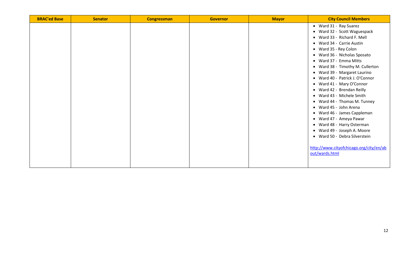| <b>BRAC'ed Base</b> | <b>Senator</b> | <b>Congressman</b> | <b>Governor</b> | <b>Mayor</b> | <b>City Council Members</b>                                                                                                                                                                                                                                                                                                                                                                                                                                                                                                                                                                                                                                                         |
|---------------------|----------------|--------------------|-----------------|--------------|-------------------------------------------------------------------------------------------------------------------------------------------------------------------------------------------------------------------------------------------------------------------------------------------------------------------------------------------------------------------------------------------------------------------------------------------------------------------------------------------------------------------------------------------------------------------------------------------------------------------------------------------------------------------------------------|
|                     |                |                    |                 |              | • Ward 31 - Ray Suarez<br>• Ward 32 - Scott Waguespack<br>• Ward 33 - Richard F. Mell<br>• Ward 34 - Carrie Austin<br>• Ward 35 - Rey Colon<br>• Ward 36 - Nicholas Sposato<br>• Ward 37 - Emma Mitts<br>• Ward 38 - Timothy M. Cullerton<br>• Ward 39 - Margaret Laurino<br>• Ward 40 - Patrick J. O'Connor<br>• Ward 41 - Mary O'Connor<br>• Ward 42 - Brendan Reilly<br>• Ward 43 - Michele Smith<br>• Ward 44 - Thomas M. Tunney<br>• Ward 45 - John Arena<br>• Ward 46 - James Cappleman<br>• Ward 47 - Ameya Pawar<br>• Ward 48 - Harry Osterman<br>• Ward 49 - Joseph A. Moore<br>• Ward 50 - Debra Silverstein<br>http://www.cityofchicago.org/city/en/ab<br>out/wards.html |